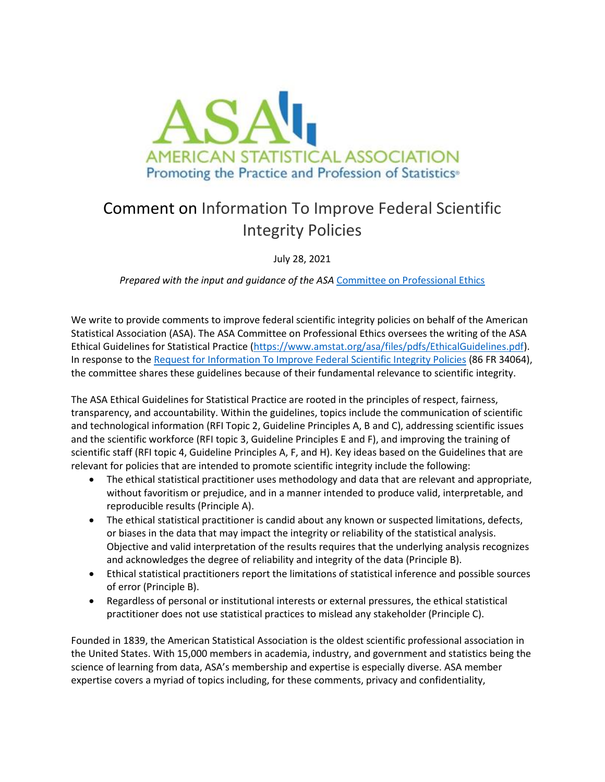

## Comment on Information To Improve Federal Scientific Integrity Policies

July 28, 2021

*Prepared with the input and guidance of the ASA* [Committee on Professional Ethics](https://ww2.amstat.org/committees/commdetails.cfm?txtComm=CCNPRO03)

We write to provide comments to improve federal scientific integrity policies on behalf of the American Statistical Association (ASA). The ASA Committee on Professional Ethics oversees the writing of the ASA Ethical Guidelines for Statistical Practice [\(https://www.amstat.org/asa/files/pdfs/EthicalGuidelines.pdf\)](https://www.amstat.org/asa/files/pdfs/EthicalGuidelines.pdf). In response to th[e Request for Information To Improve Federal Scientific Integrity Policies](https://www.federalregister.gov/documents/2021/06/28/2021-13640/request-for-information-to-improve-federal-scientific-integrity-policies) (86 FR 34064), the committee shares these guidelines because of their fundamental relevance to scientific integrity.

The ASA Ethical Guidelines for Statistical Practice are rooted in the principles of respect, fairness, transparency, and accountability. Within the guidelines, topics include the communication of scientific and technological information (RFI Topic 2, Guideline Principles A, B and C), addressing scientific issues and the scientific workforce (RFI topic 3, Guideline Principles E and F), and improving the training of scientific staff (RFI topic 4, Guideline Principles A, F, and H). Key ideas based on the Guidelines that are relevant for policies that are intended to promote scientific integrity include the following:

- The ethical statistical practitioner uses methodology and data that are relevant and appropriate, without favoritism or prejudice, and in a manner intended to produce valid, interpretable, and reproducible results (Principle A).
- The ethical statistical practitioner is candid about any known or suspected limitations, defects, or biases in the data that may impact the integrity or reliability of the statistical analysis. Objective and valid interpretation of the results requires that the underlying analysis recognizes and acknowledges the degree of reliability and integrity of the data (Principle B).
- Ethical statistical practitioners report the limitations of statistical inference and possible sources of error (Principle B).
- Regardless of personal or institutional interests or external pressures, the ethical statistical practitioner does not use statistical practices to mislead any stakeholder (Principle C).

Founded in 1839, the American Statistical Association is the oldest scientific professional association in the United States. With 15,000 members in academia, industry, and government and statistics being the science of learning from data, ASA's membership and expertise is especially diverse. ASA member expertise covers a myriad of topics including, for these comments, privacy and confidentiality,